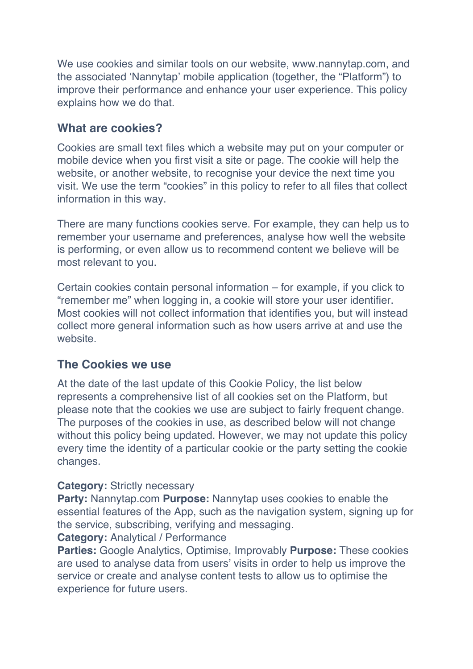We use cookies and similar tools on our website, www.nannytap.com, and the associated 'Nannytap' mobile application (together, the "Platform") to improve their performance and enhance your user experience. This policy explains how we do that.

### **What are cookies?**

Cookies are small text files which a website may put on your computer or mobile device when you first visit a site or page. The cookie will help the website, or another website, to recognise your device the next time you visit. We use the term "cookies" in this policy to refer to all files that collect information in this way.

There are many functions cookies serve. For example, they can help us to remember your username and preferences, analyse how well the website is performing, or even allow us to recommend content we believe will be most relevant to you.

Certain cookies contain personal information – for example, if you click to "remember me" when logging in, a cookie will store your user identifier. Most cookies will not collect information that identifies you, but will instead collect more general information such as how users arrive at and use the website.

### **The Cookies we use**

At the date of the last update of this Cookie Policy, the list below represents a comprehensive list of all cookies set on the Platform, but please note that the cookies we use are subject to fairly frequent change. The purposes of the cookies in use, as described below will not change without this policy being updated. However, we may not update this policy every time the identity of a particular cookie or the party setting the cookie changes.

### **Category:** Strictly necessary

**Party:** Nannytap.com **Purpose:** Nannytap uses cookies to enable the essential features of the App, such as the navigation system, signing up for the service, subscribing, verifying and messaging.

#### **Category:** Analytical / Performance

**Parties:** Google Analytics, Optimise, Improvably **Purpose:** These cookies are used to analyse data from users' visits in order to help us improve the service or create and analyse content tests to allow us to optimise the experience for future users.